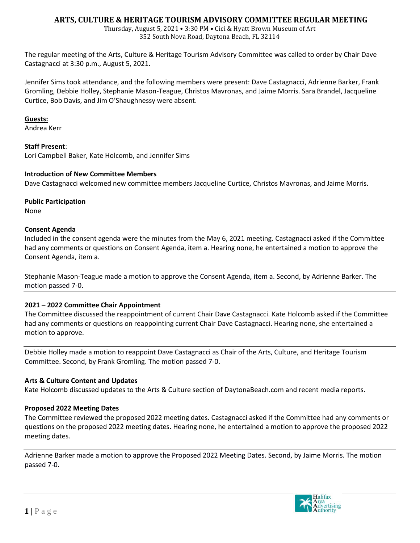# **ARTS, CULTURE & HERITAGE TOURISM ADVISORY COMMITTEE REGULAR MEETING**

Thursday, August 5, 2021 • 3:30 PM • Cici & Hyatt Brown Museum of Art 352 South Nova Road, Daytona Beach, FL 32114

The regular meeting of the Arts, Culture & Heritage Tourism Advisory Committee was called to order by Chair Dave Castagnacci at 3:30 p.m., August 5, 2021.

Jennifer Sims took attendance, and the following members were present: Dave Castagnacci, Adrienne Barker, Frank Gromling, Debbie Holley, Stephanie Mason-Teague, Christos Mavronas, and Jaime Morris. Sara Brandel, Jacqueline Curtice, Bob Davis, and Jim O'Shaughnessy were absent.

#### **Guests:**

Andrea Kerr

### **Staff Present**:

Lori Campbell Baker, Kate Holcomb, and Jennifer Sims

### **Introduction of New Committee Members**

Dave Castagnacci welcomed new committee members Jacqueline Curtice, Christos Mavronas, and Jaime Morris.

### **Public Participation**

None

### **Consent Agenda**

Included in the consent agenda were the minutes from the May 6, 2021 meeting. Castagnacci asked if the Committee had any comments or questions on Consent Agenda, item a. Hearing none, he entertained a motion to approve the Consent Agenda, item a.

Stephanie Mason-Teague made a motion to approve the Consent Agenda, item a. Second, by Adrienne Barker. The motion passed 7-0.

## **2021 – 2022 Committee Chair Appointment**

The Committee discussed the reappointment of current Chair Dave Castagnacci. Kate Holcomb asked if the Committee had any comments or questions on reappointing current Chair Dave Castagnacci. Hearing none, she entertained a motion to approve.

Debbie Holley made a motion to reappoint Dave Castagnacci as Chair of the Arts, Culture, and Heritage Tourism Committee. Second, by Frank Gromling. The motion passed 7-0.

### **Arts & Culture Content and Updates**

Kate Holcomb discussed updates to the Arts & Culture section of DaytonaBeach.com and recent media reports.

### **Proposed 2022 Meeting Dates**

The Committee reviewed the proposed 2022 meeting dates. Castagnacci asked if the Committee had any comments or questions on the proposed 2022 meeting dates. Hearing none, he entertained a motion to approve the proposed 2022 meeting dates.

Adrienne Barker made a motion to approve the Proposed 2022 Meeting Dates. Second, by Jaime Morris. The motion passed 7-0.